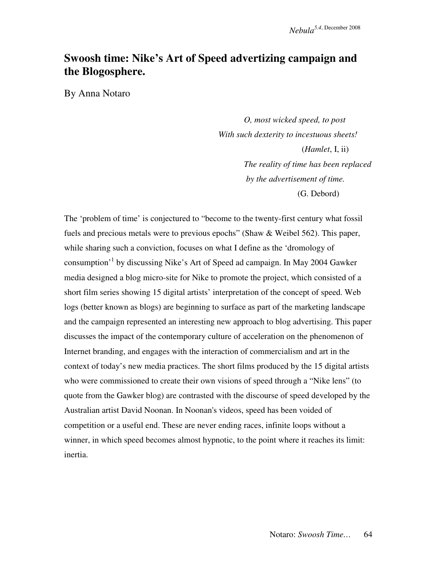# **Swoosh time: Nike's Art of Speed advertizing campaign and the Blogosphere.**

By Anna Notaro

 *O, most wicked speed, to post With such dexterity to incestuous sheets!* (*Hamlet*, I, ii)  *The reality of time has been replaced by the advertisement of time.*  (G. Debord)

The 'problem of time' is conjectured to "become to the twenty-first century what fossil fuels and precious metals were to previous epochs" (Shaw & Weibel 562). This paper, while sharing such a conviction, focuses on what I define as the 'dromology of consumption'<sup>1</sup> by discussing Nike's Art of Speed ad campaign. In May 2004 Gawker media designed a blog micro-site for Nike to promote the project, which consisted of a short film series showing 15 digital artists' interpretation of the concept of speed. Web logs (better known as blogs) are beginning to surface as part of the marketing landscape and the campaign represented an interesting new approach to blog advertising. This paper discusses the impact of the contemporary culture of acceleration on the phenomenon of Internet branding, and engages with the interaction of commercialism and art in the context of today's new media practices. The short films produced by the 15 digital artists who were commissioned to create their own visions of speed through a "Nike lens" (to quote from the Gawker blog) are contrasted with the discourse of speed developed by the Australian artist David Noonan. In Noonan's videos, speed has been voided of competition or a useful end. These are never ending races, infinite loops without a winner, in which speed becomes almost hypnotic, to the point where it reaches its limit: inertia.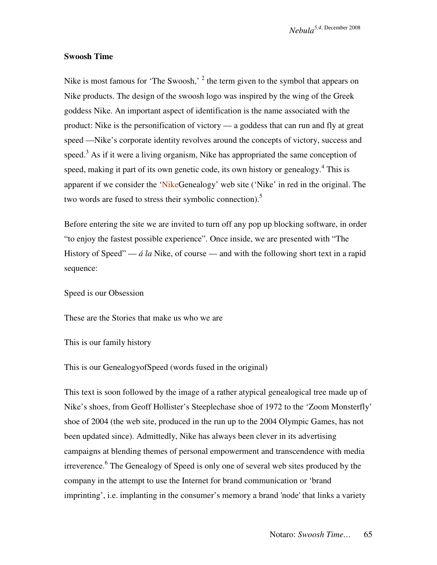#### **Swoosh Time**

Nike is most famous for 'The Swoosh,'  $2$  the term given to the symbol that appears on Nike products. The design of the swoosh logo was inspired by the wing of the Greek goddess Nike. An important aspect of identification is the name associated with the product: Nike is the personification of victory — a goddess that can run and fly at great speed —Nike's corporate identity revolves around the concepts of victory, success and speed. $3$  As if it were a living organism, Nike has appropriated the same conception of speed, making it part of its own genetic code, its own history or genealogy.<sup>4</sup> This is apparent if we consider the 'NikeGenealogy' web site ('Nike' in red in the original. The two words are fused to stress their symbolic connection).<sup>5</sup>

Before entering the site we are invited to turn off any pop up blocking software, in order "to enjoy the fastest possible experience". Once inside, we are presented with "The History of Speed" — *á la* Nike, of course — and with the following short text in a rapid sequence:

Speed is our Obsession

These are the Stories that make us who we are

This is our family history

This is our GenealogyofSpeed (words fused in the original)

This text is soon followed by the image of a rather atypical genealogical tree made up of Nike's shoes, from Geoff Hollister's Steeplechase shoe of 1972 to the 'Zoom Monsterfly' shoe of 2004 (the web site, produced in the run up to the 2004 Olympic Games, has not been updated since). Admittedly, Nike has always been clever in its advertising campaigns at blending themes of personal empowerment and transcendence with media irreverence.<sup>6</sup> The Genealogy of Speed is only one of several web sites produced by the company in the attempt to use the Internet for brand communication or 'brand imprinting', i.e. implanting in the consumer's memory a brand 'node' that links a variety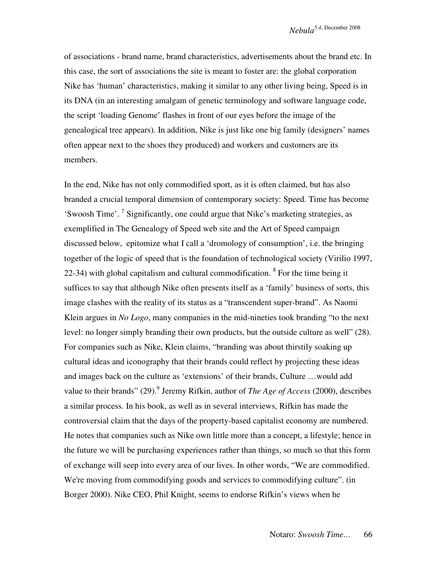of associations - brand name, brand characteristics, advertisements about the brand etc. In this case, the sort of associations the site is meant to foster are: the global corporation Nike has 'human' characteristics, making it similar to any other living being, Speed is in its DNA (in an interesting amalgam of genetic terminology and software language code, the script 'loading Genome' flashes in front of our eyes before the image of the genealogical tree appears). In addition, Nike is just like one big family (designers' names often appear next to the shoes they produced) and workers and customers are its members.

In the end, Nike has not only commodified sport, as it is often claimed, but has also branded a crucial temporal dimension of contemporary society: Speed. Time has become 'Swoosh Time'.<sup>7</sup> Significantly, one could argue that Nike's marketing strategies, as exemplified in The Genealogy of Speed web site and the Art of Speed campaign discussed below, epitomize what I call a 'dromology of consumption', i.e. the bringing together of the logic of speed that is the foundation of technological society (Virilio 1997, 22-34) with global capitalism and cultural commodification.  $8$  For the time being it suffices to say that although Nike often presents itself as a 'family' business of sorts, this image clashes with the reality of its status as a "transcendent super-brand". As Naomi Klein argues in *No Logo*, many companies in the mid-nineties took branding "to the next level: no longer simply branding their own products, but the outside culture as well" (28). For companies such as Nike, Klein claims, "branding was about thirstily soaking up cultural ideas and iconography that their brands could reflect by projecting these ideas and images back on the culture as 'extensions' of their brands, Culture …would add value to their brands" (29).<sup>9</sup> Jeremy Rifkin, author of *The Age of Access* (2000), describes a similar process. In his book, as well as in several interviews, Rifkin has made the controversial claim that the days of the property-based capitalist economy are numbered. He notes that companies such as Nike own little more than a concept, a lifestyle; hence in the future we will be purchasing experiences rather than things, so much so that this form of exchange will seep into every area of our lives. In other words, "We are commodified. We're moving from commodifying goods and services to commodifying culture". (in Borger 2000). Nike CEO, Phil Knight, seems to endorse Rifkin's views when he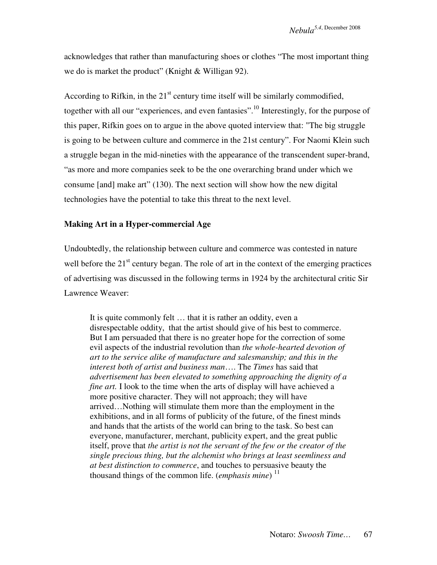acknowledges that rather than manufacturing shoes or clothes "The most important thing we do is market the product" (Knight & Willigan 92).

According to Rifkin, in the  $21<sup>st</sup>$  century time itself will be similarly commodified, together with all our "experiences, and even fantasies".<sup>10</sup> Interestingly, for the purpose of this paper, Rifkin goes on to argue in the above quoted interview that: "The big struggle is going to be between culture and commerce in the 21st century". For Naomi Klein such a struggle began in the mid-nineties with the appearance of the transcendent super-brand, "as more and more companies seek to be the one overarching brand under which we consume [and] make art" (130). The next section will show how the new digital technologies have the potential to take this threat to the next level.

### **Making Art in a Hyper-commercial Age**

Undoubtedly, the relationship between culture and commerce was contested in nature well before the  $21<sup>st</sup>$  century began. The role of art in the context of the emerging practices of advertising was discussed in the following terms in 1924 by the architectural critic Sir Lawrence Weaver:

It is quite commonly felt … that it is rather an oddity, even a disrespectable oddity, that the artist should give of his best to commerce. But I am persuaded that there is no greater hope for the correction of some evil aspects of the industrial revolution than *the whole-hearted devotion of art to the service alike of manufacture and salesmanship; and this in the interest both of artist and business man*…. The *Times* has said that *advertisement has been elevated to something approaching the dignity of a fine art.* I look to the time when the arts of display will have achieved a more positive character. They will not approach; they will have arrived…Nothing will stimulate them more than the employment in the exhibitions, and in all forms of publicity of the future, of the finest minds and hands that the artists of the world can bring to the task. So best can everyone, manufacturer, merchant, publicity expert, and the great public itself, prove that *the artist is not the servant of the few or the creator of the single precious thing, but the alchemist who brings at least seemliness and at best distinction to commerce*, and touches to persuasive beauty the thousand things of the common life. *(emphasis mine*)<sup>11</sup>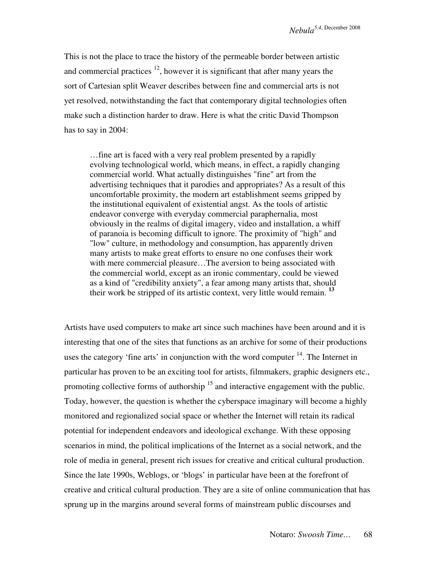This is not the place to trace the history of the permeable border between artistic and commercial practices  $\frac{12}{1}$ , however it is significant that after many years the sort of Cartesian split Weaver describes between fine and commercial arts is not yet resolved, notwithstanding the fact that contemporary digital technologies often make such a distinction harder to draw. Here is what the critic David Thompson has to say in 2004:

…fine art is faced with a very real problem presented by a rapidly evolving technological world, which means, in effect, a rapidly changing commercial world. What actually distinguishes "fine" art from the advertising techniques that it parodies and appropriates? As a result of this uncomfortable proximity, the modern art establishment seems gripped by the institutional equivalent of existential angst. As the tools of artistic endeavor converge with everyday commercial paraphernalia, most obviously in the realms of digital imagery, video and installation, a whiff of paranoia is becoming difficult to ignore. The proximity of "high" and "low" culture, in methodology and consumption, has apparently driven many artists to make great efforts to ensure no one confuses their work with mere commercial pleasure...The aversion to being associated with the commercial world, except as an ironic commentary, could be viewed as a kind of "credibility anxiety", a fear among many artists that, should their work be stripped of its artistic context, very little would remain. **<sup>13</sup>**

Artists have used computers to make art since such machines have been around and it is interesting that one of the sites that functions as an archive for some of their productions uses the category 'fine arts' in conjunction with the word computer  $14$ . The Internet in particular has proven to be an exciting tool for artists, filmmakers, graphic designers etc., promoting collective forms of authorship  $15$  and interactive engagement with the public. Today, however, the question is whether the cyberspace imaginary will become a highly monitored and regionalized social space or whether the Internet will retain its radical potential for independent endeavors and ideological exchange. With these opposing scenarios in mind, the political implications of the Internet as a social network, and the role of media in general, present rich issues for creative and critical cultural production. Since the late 1990s, Weblogs, or 'blogs' in particular have been at the forefront of creative and critical cultural production. They are a site of online communication that has sprung up in the margins around several forms of mainstream public discourses and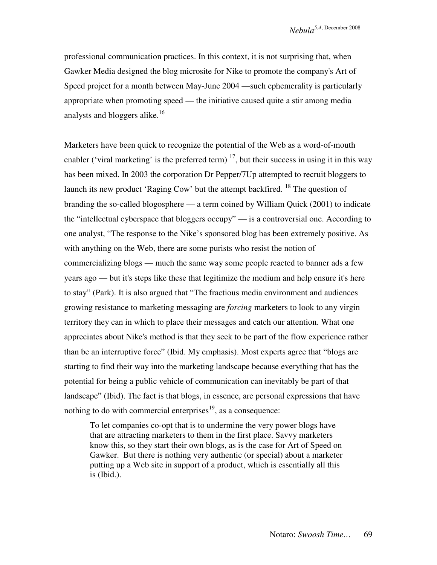professional communication practices. In this context, it is not surprising that, when Gawker Media designed the blog microsite for Nike to promote the company's Art of Speed project for a month between May-June 2004 —such ephemerality is particularly appropriate when promoting speed — the initiative caused quite a stir among media analysts and bloggers alike.<sup>16</sup>

Marketers have been quick to recognize the potential of the Web as a word-of-mouth enabler ('viral marketing' is the preferred term)  $^{17}$ , but their success in using it in this way has been mixed. In 2003 the corporation Dr Pepper/7Up attempted to recruit bloggers to launch its new product 'Raging Cow' but the attempt backfired. <sup>18</sup> The question of branding the so-called blogosphere — a term coined by William Quick (2001) to indicate the "intellectual cyberspace that bloggers occupy" — is a controversial one. According to one analyst, "The response to the Nike's sponsored blog has been extremely positive. As with anything on the Web, there are some purists who resist the notion of commercializing blogs — much the same way some people reacted to banner ads a few years ago — but it's steps like these that legitimize the medium and help ensure it's here to stay" (Park). It is also argued that "The fractious media environment and audiences growing resistance to marketing messaging are *forcing* marketers to look to any virgin territory they can in which to place their messages and catch our attention. What one appreciates about Nike's method is that they seek to be part of the flow experience rather than be an interruptive force" (Ibid. My emphasis). Most experts agree that "blogs are starting to find their way into the marketing landscape because everything that has the potential for being a public vehicle of communication can inevitably be part of that landscape" (Ibid). The fact is that blogs, in essence, are personal expressions that have nothing to do with commercial enterprises<sup>19</sup>, as a consequence:

To let companies co-opt that is to undermine the very power blogs have that are attracting marketers to them in the first place. Savvy marketers know this, so they start their own blogs, as is the case for Art of Speed on Gawker. But there is nothing very authentic (or special) about a marketer putting up a Web site in support of a product, which is essentially all this is (Ibid.).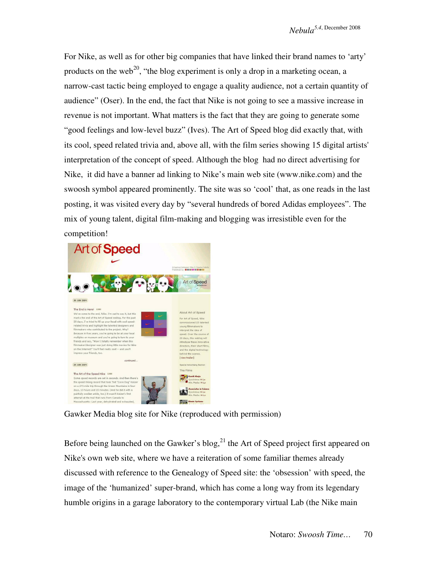For Nike, as well as for other big companies that have linked their brand names to 'arty' products on the web<sup>20</sup>, "the blog experiment is only a drop in a marketing ocean, a narrow-cast tactic being employed to engage a quality audience, not a certain quantity of audience" (Oser). In the end, the fact that Nike is not going to see a massive increase in revenue is not important. What matters is the fact that they are going to generate some "good feelings and low-level buzz" (Ives). The Art of Speed blog did exactly that, with its cool, speed related trivia and, above all, with the film series showing 15 digital artists' interpretation of the concept of speed. Although the blog had no direct advertising for Nike, it did have a banner ad linking to Nike's main web site (www.nike.com) and the swoosh symbol appeared prominently. The site was so 'cool' that, as one reads in the last posting, it was visited every day by "several hundreds of bored Adidas employees". The mix of young talent, digital film-making and blogging was irresistible even for the competition!



Gawker Media blog site for Nike (reproduced with permission)

Before being launched on the Gawker's blog, $^{21}$  the Art of Speed project first appeared on Nike's own web site, where we have a reiteration of some familiar themes already discussed with reference to the Genealogy of Speed site: the 'obsession' with speed, the image of the 'humanized' super-brand, which has come a long way from its legendary humble origins in a garage laboratory to the contemporary virtual Lab (the Nike main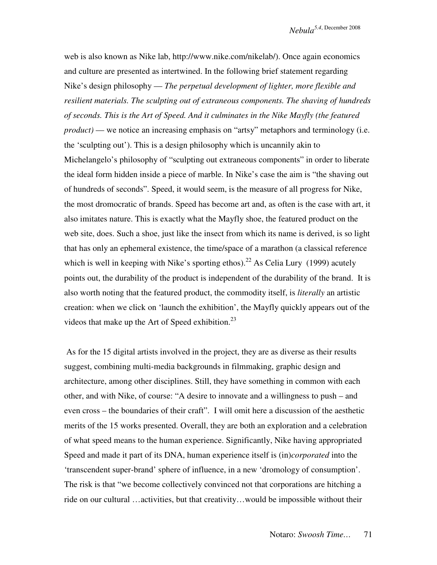web is also known as Nike lab, http://www.nike.com/nikelab/). Once again economics and culture are presented as intertwined. In the following brief statement regarding Nike's design philosophy — *The perpetual development of lighter, more flexible and resilient materials. The sculpting out of extraneous components. The shaving of hundreds of seconds. This is the Art of Speed. And it culminates in the Nike Mayfly (the featured product*) — we notice an increasing emphasis on "artsy" metaphors and terminology (i.e. the 'sculpting out'). This is a design philosophy which is uncannily akin to Michelangelo's philosophy of "sculpting out extraneous components" in order to liberate the ideal form hidden inside a piece of marble. In Nike's case the aim is "the shaving out of hundreds of seconds". Speed, it would seem, is the measure of all progress for Nike, the most dromocratic of brands. Speed has become art and, as often is the case with art, it also imitates nature. This is exactly what the Mayfly shoe, the featured product on the web site, does. Such a shoe, just like the insect from which its name is derived, is so light that has only an ephemeral existence, the time/space of a marathon (a classical reference which is well in keeping with Nike's sporting ethos).<sup>22</sup> As Celia Lury (1999) acutely points out, the durability of the product is independent of the durability of the brand. It is also worth noting that the featured product, the commodity itself, is *literally* an artistic creation: when we click on 'launch the exhibition', the Mayfly quickly appears out of the videos that make up the Art of Speed exhibition.<sup>23</sup>

 As for the 15 digital artists involved in the project, they are as diverse as their results suggest, combining multi-media backgrounds in filmmaking, graphic design and architecture, among other disciplines. Still, they have something in common with each other, and with Nike, of course: "A desire to innovate and a willingness to push – and even cross – the boundaries of their craft". I will omit here a discussion of the aesthetic merits of the 15 works presented. Overall, they are both an exploration and a celebration of what speed means to the human experience. Significantly, Nike having appropriated Speed and made it part of its DNA, human experience itself is (in)*corporated* into the 'transcendent super-brand' sphere of influence, in a new 'dromology of consumption'. The risk is that "we become collectively convinced not that corporations are hitching a ride on our cultural …activities, but that creativity…would be impossible without their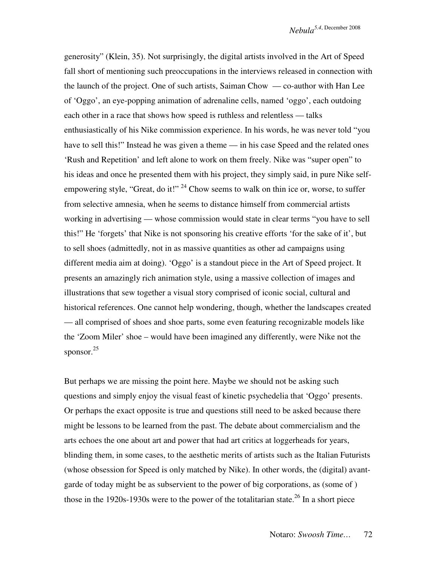generosity" (Klein, 35). Not surprisingly, the digital artists involved in the Art of Speed fall short of mentioning such preoccupations in the interviews released in connection with the launch of the project. One of such artists, Saiman Chow — co-author with Han Lee of 'Oggo', an eye-popping animation of adrenaline cells, named 'oggo', each outdoing each other in a race that shows how speed is ruthless and relentless — talks enthusiastically of his Nike commission experience. In his words, he was never told "you have to sell this!" Instead he was given a theme — in his case Speed and the related ones 'Rush and Repetition' and left alone to work on them freely. Nike was "super open" to his ideas and once he presented them with his project, they simply said, in pure Nike selfempowering style, "Great, do it!"  $^{24}$  Chow seems to walk on thin ice or, worse, to suffer from selective amnesia, when he seems to distance himself from commercial artists working in advertising — whose commission would state in clear terms "you have to sell this!" He 'forgets' that Nike is not sponsoring his creative efforts 'for the sake of it', but to sell shoes (admittedly, not in as massive quantities as other ad campaigns using different media aim at doing). 'Oggo' is a standout piece in the Art of Speed project. It presents an amazingly rich animation style, using a massive collection of images and illustrations that sew together a visual story comprised of iconic social, cultural and historical references. One cannot help wondering, though, whether the landscapes created — all comprised of shoes and shoe parts, some even featuring recognizable models like the 'Zoom Miler' shoe – would have been imagined any differently, were Nike not the sponsor. 25

But perhaps we are missing the point here. Maybe we should not be asking such questions and simply enjoy the visual feast of kinetic psychedelia that 'Oggo' presents. Or perhaps the exact opposite is true and questions still need to be asked because there might be lessons to be learned from the past. The debate about commercialism and the arts echoes the one about art and power that had art critics at loggerheads for years, blinding them, in some cases, to the aesthetic merits of artists such as the Italian Futurists (whose obsession for Speed is only matched by Nike). In other words, the (digital) avantgarde of today might be as subservient to the power of big corporations, as (some of ) those in the 1920s-1930s were to the power of the totalitarian state.<sup>26</sup> In a short piece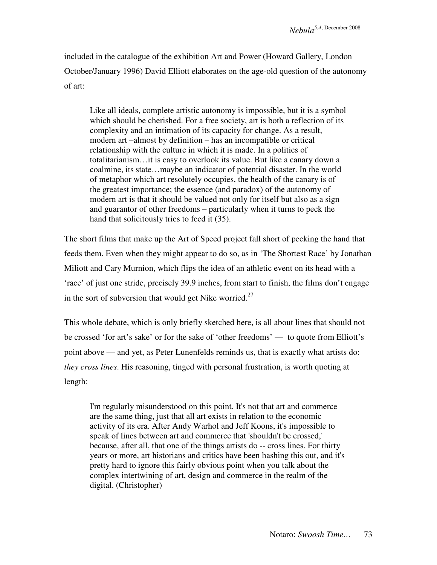included in the catalogue of the exhibition Art and Power (Howard Gallery, London October/January 1996) David Elliott elaborates on the age-old question of the autonomy of art:

Like all ideals, complete artistic autonomy is impossible, but it is a symbol which should be cherished. For a free society, art is both a reflection of its complexity and an intimation of its capacity for change. As a result, modern art –almost by definition – has an incompatible or critical relationship with the culture in which it is made. In a politics of totalitarianism…it is easy to overlook its value. But like a canary down a coalmine, its state…maybe an indicator of potential disaster. In the world of metaphor which art resolutely occupies, the health of the canary is of the greatest importance; the essence (and paradox) of the autonomy of modern art is that it should be valued not only for itself but also as a sign and guarantor of other freedoms – particularly when it turns to peck the hand that solicitously tries to feed it (35).

The short films that make up the Art of Speed project fall short of pecking the hand that feeds them. Even when they might appear to do so, as in 'The Shortest Race' by Jonathan Miliott and Cary Murnion, which flips the idea of an athletic event on its head with a 'race' of just one stride, precisely 39.9 inches, from start to finish, the films don't engage in the sort of subversion that would get Nike worried.<sup>27</sup>

This whole debate, which is only briefly sketched here, is all about lines that should not be crossed 'for art's sake' or for the sake of 'other freedoms' — to quote from Elliott's point above — and yet, as Peter Lunenfelds reminds us, that is exactly what artists do: *they cross lines*. His reasoning, tinged with personal frustration, is worth quoting at length:

I'm regularly misunderstood on this point. It's not that art and commerce are the same thing, just that all art exists in relation to the economic activity of its era. After Andy Warhol and Jeff Koons, it's impossible to speak of lines between art and commerce that 'shouldn't be crossed,' because, after all, that one of the things artists do -- cross lines. For thirty years or more, art historians and critics have been hashing this out, and it's pretty hard to ignore this fairly obvious point when you talk about the complex intertwining of art, design and commerce in the realm of the digital. (Christopher)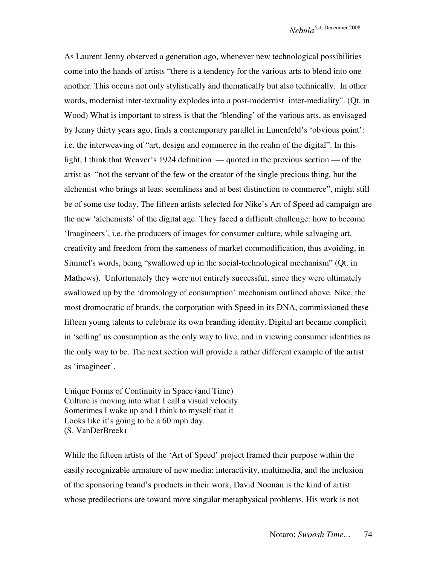As Laurent Jenny observed a generation ago, whenever new technological possibilities come into the hands of artists "there is a tendency for the various arts to blend into one another. This occurs not only stylistically and thematically but also technically. In other words, modernist inter-textuality explodes into a post-modernist inter-mediality". (Qt. in Wood) What is important to stress is that the 'blending' of the various arts, as envisaged by Jenny thirty years ago, finds a contemporary parallel in Lunenfeld's 'obvious point': i.e. the interweaving of "art, design and commerce in the realm of the digital". In this light, I think that Weaver's 1924 definition — quoted in the previous section — of the artist as "not the servant of the few or the creator of the single precious thing, but the alchemist who brings at least seemliness and at best distinction to commerce", might still be of some use today. The fifteen artists selected for Nike's Art of Speed ad campaign are the new 'alchemists' of the digital age. They faced a difficult challenge: how to become 'Imagineers', i.e. the producers of images for consumer culture, while salvaging art, creativity and freedom from the sameness of market commodification, thus avoiding, in Simmel's words, being "swallowed up in the social-technological mechanism" (Qt. in Mathews). Unfortunately they were not entirely successful, since they were ultimately swallowed up by the 'dromology of consumption' mechanism outlined above. Nike, the most dromocratic of brands, the corporation with Speed in its DNA, commissioned these fifteen young talents to celebrate its own branding identity. Digital art became complicit in 'selling' us consumption as the only way to live, and in viewing consumer identities as the only way to be. The next section will provide a rather different example of the artist as 'imagineer'.

Unique Forms of Continuity in Space (and Time) Culture is moving into what I call a visual velocity. Sometimes I wake up and I think to myself that it Looks like it's going to be a 60 mph day. (S. VanDerBreek)

While the fifteen artists of the 'Art of Speed' project framed their purpose within the easily recognizable armature of new media: interactivity, multimedia, and the inclusion of the sponsoring brand's products in their work, David Noonan is the kind of artist whose predilections are toward more singular metaphysical problems. His work is not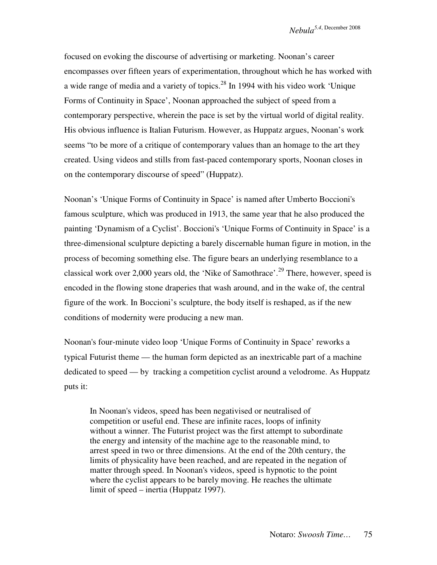focused on evoking the discourse of advertising or marketing. Noonan's career encompasses over fifteen years of experimentation, throughout which he has worked with a wide range of media and a variety of topics.<sup>28</sup> In 1994 with his video work 'Unique Forms of Continuity in Space', Noonan approached the subject of speed from a contemporary perspective, wherein the pace is set by the virtual world of digital reality. His obvious influence is Italian Futurism. However, as Huppatz argues, Noonan's work seems "to be more of a critique of contemporary values than an homage to the art they created. Using videos and stills from fast-paced contemporary sports, Noonan closes in on the contemporary discourse of speed" (Huppatz).

Noonan's 'Unique Forms of Continuity in Space' is named after Umberto Boccioni's famous sculpture, which was produced in 1913, the same year that he also produced the painting 'Dynamism of a Cyclist'. Boccioni's 'Unique Forms of Continuity in Space' is a three-dimensional sculpture depicting a barely discernable human figure in motion, in the process of becoming something else. The figure bears an underlying resemblance to a classical work over 2,000 years old, the 'Nike of Samothrace'.<sup>29</sup> There, however, speed is encoded in the flowing stone draperies that wash around, and in the wake of, the central figure of the work. In Boccioni's sculpture, the body itself is reshaped, as if the new conditions of modernity were producing a new man.

Noonan's four-minute video loop 'Unique Forms of Continuity in Space' reworks a typical Futurist theme — the human form depicted as an inextricable part of a machine dedicated to speed — by tracking a competition cyclist around a velodrome. As Huppatz puts it:

In Noonan's videos, speed has been negativised or neutralised of competition or useful end. These are infinite races, loops of infinity without a winner. The Futurist project was the first attempt to subordinate the energy and intensity of the machine age to the reasonable mind, to arrest speed in two or three dimensions. At the end of the 20th century, the limits of physicality have been reached, and are repeated in the negation of matter through speed. In Noonan's videos, speed is hypnotic to the point where the cyclist appears to be barely moving. He reaches the ultimate limit of speed – inertia (Huppatz 1997).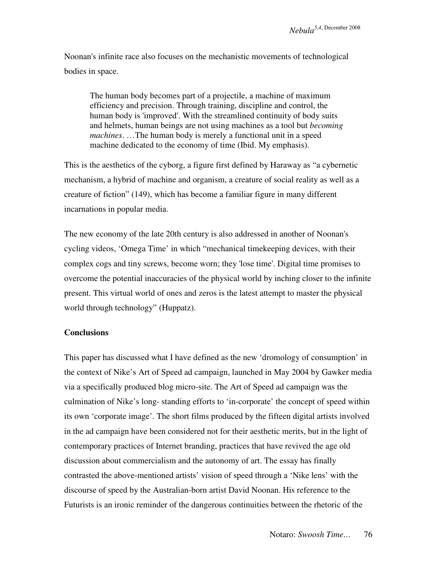Noonan's infinite race also focuses on the mechanistic movements of technological bodies in space.

The human body becomes part of a projectile, a machine of maximum efficiency and precision. Through training, discipline and control, the human body is 'improved'. With the streamlined continuity of body suits and helmets, human beings are not using machines as a tool but *becoming machines*. …The human body is merely a functional unit in a speed machine dedicated to the economy of time (Ibid. My emphasis).

This is the aesthetics of the cyborg, a figure first defined by Haraway as "a cybernetic mechanism, a hybrid of machine and organism, a creature of social reality as well as a creature of fiction" (149), which has become a familiar figure in many different incarnations in popular media.

The new economy of the late 20th century is also addressed in another of Noonan's cycling videos, 'Omega Time' in which "mechanical timekeeping devices, with their complex cogs and tiny screws, become worn; they 'lose time'. Digital time promises to overcome the potential inaccuracies of the physical world by inching closer to the infinite present. This virtual world of ones and zeros is the latest attempt to master the physical world through technology" (Huppatz).

### **Conclusions**

This paper has discussed what I have defined as the new 'dromology of consumption' in the context of Nike's Art of Speed ad campaign, launched in May 2004 by Gawker media via a specifically produced blog micro-site. The Art of Speed ad campaign was the culmination of Nike's long- standing efforts to 'in-corporate' the concept of speed within its own 'corporate image'. The short films produced by the fifteen digital artists involved in the ad campaign have been considered not for their aesthetic merits, but in the light of contemporary practices of Internet branding, practices that have revived the age old discussion about commercialism and the autonomy of art. The essay has finally contrasted the above-mentioned artists' vision of speed through a 'Nike lens' with the discourse of speed by the Australian-born artist David Noonan. His reference to the Futurists is an ironic reminder of the dangerous continuities between the rhetoric of the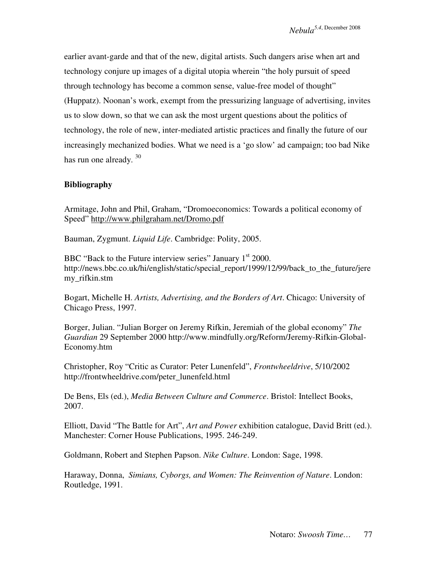earlier avant-garde and that of the new, digital artists. Such dangers arise when art and technology conjure up images of a digital utopia wherein "the holy pursuit of speed through technology has become a common sense, value-free model of thought" (Huppatz). Noonan's work, exempt from the pressurizing language of advertising, invites us to slow down, so that we can ask the most urgent questions about the politics of technology, the role of new, inter-mediated artistic practices and finally the future of our increasingly mechanized bodies. What we need is a 'go slow' ad campaign; too bad Nike has run one already.<sup>30</sup>

## **Bibliography**

Armitage, John and Phil, Graham, "Dromoeconomics: Towards a political economy of Speed" http://www.philgraham.net/Dromo.pdf

Bauman, Zygmunt. *Liquid Life*. Cambridge: Polity, 2005.

BBC "Back to the Future interview series" January  $1<sup>st</sup> 2000$ . http://news.bbc.co.uk/hi/english/static/special\_report/1999/12/99/back\_to\_the\_future/jere my\_rifkin.stm

Bogart, Michelle H. *Artists, Advertising, and the Borders of Art*. Chicago: University of Chicago Press, 1997.

Borger, Julian. "Julian Borger on Jeremy Rifkin, Jeremiah of the global economy" *The Guardian* 29 September 2000 http://www.mindfully.org/Reform/Jeremy-Rifkin-Global-Economy.htm

Christopher, Roy "Critic as Curator: Peter Lunenfeld", *Frontwheeldrive*, 5/10/2002 http://frontwheeldrive.com/peter\_lunenfeld.html

De Bens, Els (ed.), *Media Between Culture and Commerce*. Bristol: Intellect Books, 2007.

Elliott, David "The Battle for Art", *Art and Power* exhibition catalogue, David Britt (ed.). Manchester: Corner House Publications, 1995. 246-249.

Goldmann, Robert and Stephen Papson. *Nike Culture*. London: Sage, 1998.

Haraway, Donna, *Simians, Cyborgs, and Women: The Reinvention of Nature*. London: Routledge, 1991.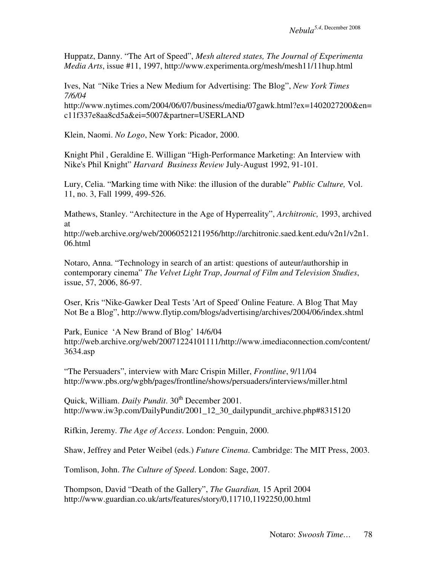Huppatz, Danny. "The Art of Speed", *Mesh altered states, The Journal of Experimenta Media Arts*, issue #11, 1997, http://www.experimenta.org/mesh/mesh11/11hup.html

Ives, Nat *"*Nike Tries a New Medium for Advertising: The Blog", *New York Times 7/6/04*  http://www.nytimes.com/2004/06/07/business/media/07gawk.html?ex=1402027200&en= c11f337e8aa8cd5a&ei=5007&partner=USERLAND

Klein, Naomi. *No Logo*, New York: Picador, 2000.

Knight Phil , Geraldine E. Willigan "High-Performance Marketing: An Interview with Nike's Phil Knight" *Harvard Business Review* July-August 1992, 91-101.

Lury, Celia. "Marking time with Nike: the illusion of the durable" *Public Culture,* Vol. 11, no. 3, Fall 1999, 499-526.

Mathews, Stanley. "Architecture in the Age of Hyperreality", *Architronic,* 1993, archived at

http://web.archive.org/web/20060521211956/http://architronic.saed.kent.edu/v2n1/v2n1. 06.html

Notaro, Anna. "Technology in search of an artist: questions of auteur/authorship in contemporary cinema" *The Velvet Light Trap*, *Journal of Film and Television Studies*, issue, 57, 2006, 86-97.

Oser, Kris "Nike-Gawker Deal Tests 'Art of Speed' Online Feature. A Blog That May Not Be a Blog", http://www.flytip.com/blogs/advertising/archives/2004/06/index.shtml

Park, Eunice 'A New Brand of Blog' 14/6/04 http://web.archive.org/web/20071224101111/http://www.imediaconnection.com/content/ 3634.asp

"The Persuaders", interview with Marc Crispin Miller, *Frontline*, 9/11/04 http://www.pbs.org/wgbh/pages/frontline/shows/persuaders/interviews/miller.html

Quick, William. *Daily Pundit*. 30<sup>th</sup> December 2001. http://www.iw3p.com/DailyPundit/2001\_12\_30\_dailypundit\_archive.php#8315120

Rifkin, Jeremy. *The Age of Access*. London: Penguin, 2000.

Shaw, Jeffrey and Peter Weibel (eds.) *Future Cinema*. Cambridge: The MIT Press, 2003.

Tomlison, John. *The Culture of Speed*. London: Sage, 2007.

Thompson, David "Death of the Gallery", *The Guardian,* 15 April 2004 http://www.guardian.co.uk/arts/features/story/0,11710,1192250,00.html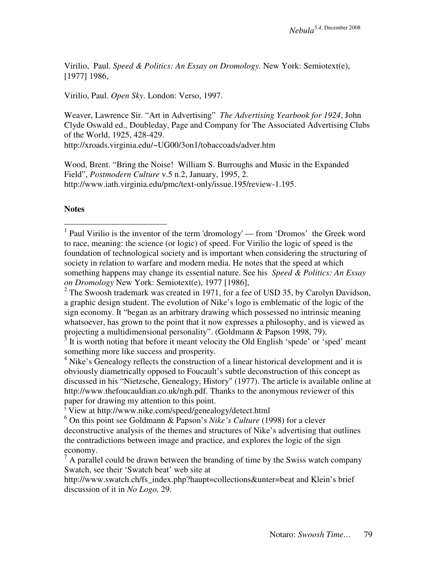Virilio, Paul. *Speed & Politics: An Essay on Dromology.* New York: Semiotext(e), [1977] 1986,

Virilio, Paul. *Open Sky*. London: Verso, 1997.

Weaver, Lawrence Sir. "Art in Advertising" *The Advertising Yearbook for 1924*, John Clyde Oswald ed., Doubleday, Page and Company for The Associated Advertising Clubs of the World, 1925, 428-429.

http://xroads.virginia.edu/~UG00/3on1/tobaccoads/adver.htm

Wood, Brent. "Bring the Noise! William S. Burroughs and Music in the Expanded Field", *Postmodern Culture* v.5 n.2, January, 1995, 2. http://www.iath.virginia.edu/pmc/text-only/issue.195/review-1.195.

**Notes** 

 $2^2$  The Swoosh trademark was created in 1971, for a fee of USD 35, by Carolyn Davidson, a graphic design student. The evolution of Nike's logo is emblematic of the logic of the sign economy. It "began as an arbitrary drawing which possessed no intrinsic meaning whatsoever, has grown to the point that it now expresses a philosophy, and is viewed as projecting a multidimensional personality". (Goldmann & Papson 1998, 79).

 $3$  It is worth noting that before it meant velocity the Old English 'spede' or 'sped' meant something more like success and prosperity.

<sup>4</sup> Nike's Genealogy reflects the construction of a linear historical development and it is obviously diametrically opposed to Foucault's subtle deconstruction of this concept as discussed in his "Nietzsche, Genealogy, History" (1977). The article is available online at http://www.thefoucauldian.co.uk/ngh.pdf. Thanks to the anonymous reviewer of this paper for drawing my attention to this point.

 $5$  View at http://www.nike.com/speed/genealogy/detect.html

6 On this point see Goldmann & Papson's *Nike's Culture* (1998) for a clever deconstructive analysis of the themes and structures of Nike's advertising that outlines the contradictions between image and practice, and explores the logic of the sign economy.

http://www.swatch.ch/fs\_index.php?haupt=collections&unter=beat and Klein's brief discussion of it in *No Logo,* 29.

<sup>&</sup>lt;sup>1</sup> Paul Virilio is the inventor of the term 'dromology' — from 'Dromos' the Greek word to race, meaning: the science (or logic) of speed. For Virilio the logic of speed is the foundation of technological society and is important when considering the structuring of society in relation to warfare and modern media. He notes that the speed at which something happens may change its essential nature. See his *Speed & Politics: An Essay on Dromology* New York: Semiotext(e), 1977 [1986],

 $<sup>7</sup>$  A parallel could be drawn between the branding of time by the Swiss watch company</sup> Swatch, see their 'Swatch beat' web site at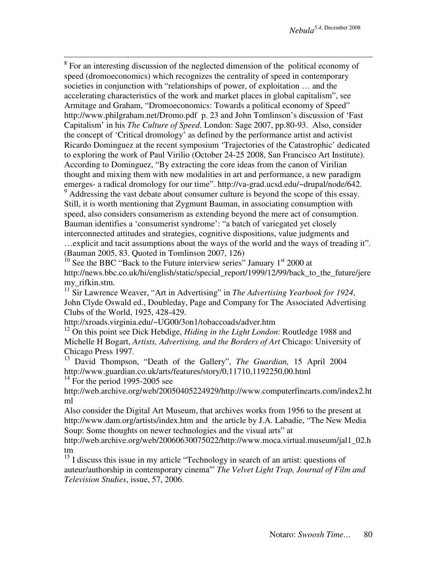<sup>8</sup> For an interesting discussion of the neglected dimension of the political economy of speed (dromoeconomics) which recognizes the centrality of speed in contemporary societies in conjunction with "relationships of power, of exploitation … and the accelerating characteristics of the work and market places in global capitalism", see Armitage and Graham, "Dromoeconomics: Towards a political economy of Speed" http://www.philgraham.net/Dromo.pdf p. 23 and John Tomlinson's discussion of 'Fast Capitalism' in his *The Culture of Speed*. London: Sage 2007, pp.80-93. Also, consider the concept of 'Critical dromology' as defined by the performance artist and activist Ricardo Dominguez at the recent symposium 'Trajectories of the Catastrophic' dedicated to exploring the work of Paul Virilio (October 24-25 2008, San Francisco Art Institute). According to Dominguez, "By extracting the core ideas from the canon of Virilian thought and mixing them with new modalities in art and performance, a new paradigm emerges- a radical dromology for our time". http://va-grad.ucsd.edu/~drupal/node/642. <sup>9</sup> Addressing the vast debate about consumer culture is beyond the scope of this essay. Still, it is worth mentioning that Zygmunt Bauman, in associating consumption with speed, also considers consumerism as extending beyond the mere act of consumption. Bauman identifies a 'consumerist syndrome': "a batch of variegated yet closely interconnected attitudes and strategies, cognitive dispositions, value judgments and …explicit and tacit assumptions about the ways of the world and the ways of treading it". (Bauman 2005, 83. Quoted in Tomlinson 2007, 126)

 $10^{\circ}$  See the BBC "Back to the Future interview series" January  $1<sup>st</sup>$  2000 at http://news.bbc.co.uk/hi/english/static/special\_report/1999/12/99/back\_to\_the\_future/jere my\_rifkin.stm.

<sup>11</sup> Sir Lawrence Weaver, "Art in Advertising" in *The Advertising Yearbook for 1924*, John Clyde Oswald ed., Doubleday, Page and Company for The Associated Advertising Clubs of the World, 1925, 428-429.

http://xroads.virginia.edu/~UG00/3on1/tobaccoads/adver.htm

<sup>12</sup> On this point see Dick Hebdige, *Hiding in the Light London*: Routledge 1988 and Michelle H Bogart, *Artists, Advertising, and the Borders of Art* Chicago: University of Chicago Press 1997.

<sup>13</sup> David Thompson, "Death of the Gallery", *The Guardian,* 15 April 2004 http://www.guardian.co.uk/arts/features/story/0,11710,1192250,00.html  $14$  For the period 1995-2005 see

http://web.archive.org/web/20050405224929/http://www.computerfinearts.com/index2.ht ml

Also consider the Digital Art Museum, that archives works from 1956 to the present at http://www.dam.org/artists/index.htm and the article by J.A. Labadie, "The New Media Soup: Some thoughts on newer technologies and the visual arts" at

http://web.archive.org/web/20060630075022/http://www.moca.virtual.museum/jal1\_02.h tm

<sup>15</sup> I discuss this issue in my article "Technology in search of an artist: questions of auteur/authorship in contemporary cinema'" *The Velvet Light Trap, Journal of Film and Television Studies*, issue, 57, 2006.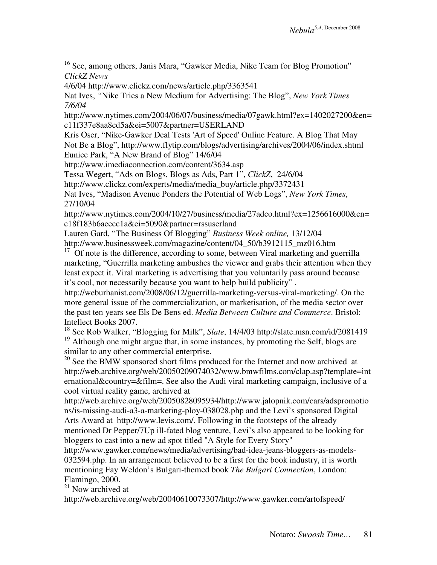<sup>16</sup> See, among others, Janis Mara, "Gawker Media, Nike Team for Blog Promotion" *ClickZ News*

4/6/04 http://www.clickz.com/news/article.php/3363541

 $\overline{a}$ 

Nat Ives, *"*Nike Tries a New Medium for Advertising: The Blog", *New York Times 7/6/04* 

http://www.nytimes.com/2004/06/07/business/media/07gawk.html?ex=1402027200&en= c11f337e8aa8cd5a&ei=5007&partner=USERLAND

Kris Oser, "Nike-Gawker Deal Tests 'Art of Speed' Online Feature. A Blog That May Not Be a Blog", http://www.flytip.com/blogs/advertising/archives/2004/06/index.shtml Eunice Park, "A New Brand of Blog" 14/6/04

http://www.imediaconnection.com/content/3634.asp

Tessa Wegert, "Ads on Blogs, Blogs as Ads, Part 1", *ClickZ*, 24/6/04

http://www.clickz.com/experts/media/media\_buy/article.php/3372431

Nat Ives, "Madison Avenue Ponders the Potential of Web Logs", *New York Times*, 27/10/04

http://www.nytimes.com/2004/10/27/business/media/27adco.html?ex=1256616000&en= c18f183b6aeecc1a&ei=5090&partner=rssuserland

Lauren Gard, "The Business Of Blogging" *Business Week online,* 13/12/04 http://www.businessweek.com/magazine/content/04\_50/b3912115\_mz016.htm

 $17$  Of note is the difference, according to some, between Viral marketing and guerrilla marketing, "Guerrilla marketing ambushes the viewer and grabs their attention when they least expect it. Viral marketing is advertising that you voluntarily pass around because it's cool, not necessarily because you want to help build publicity" .

http://weburbanist.com/2008/06/12/guerrilla-marketing-versus-viral-marketing/. On the more general issue of the commercialization, or marketisation, of the media sector over the past ten years see Els De Bens ed. *Media Between Culture and Commerce*. Bristol: Intellect Books 2007.

<sup>18</sup> See Rob Walker, "Blogging for Milk", *Slate*, 14/4/03 http://slate.msn.com/id/2081419 <sup>19</sup> Although one might argue that, in some instances, by promoting the Self, blogs are similar to any other commercial enterprise.

 $^{20}$  See the BMW sponsored short films produced for the Internet and now archived at http://web.archive.org/web/20050209074032/www.bmwfilms.com/clap.asp?template=int ernational&country=&film=. See also the Audi viral marketing campaign, inclusive of a cool virtual reality game, archived at

http://web.archive.org/web/20050828095934/http://www.jalopnik.com/cars/adspromotio ns/is-missing-audi-a3-a-marketing-ploy-038028.php and the Levi's sponsored Digital Arts Award at http://www.levis.com/. Following in the footsteps of the already mentioned Dr Pepper/7Up ill-fated blog venture, Levi's also appeared to be looking for bloggers to cast into a new ad spot titled "A Style for Every Story"

http://www.gawker.com/news/media/advertising/bad-idea-jeans-bloggers-as-models-032594.php. In an arrangement believed to be a first for the book industry, it is worth mentioning Fay Weldon's Bulgari-themed book *The Bulgari Connection*, London: Flamingo, 2000.

 $^{21}$  Now archived at

http://web.archive.org/web/20040610073307/http://www.gawker.com/artofspeed/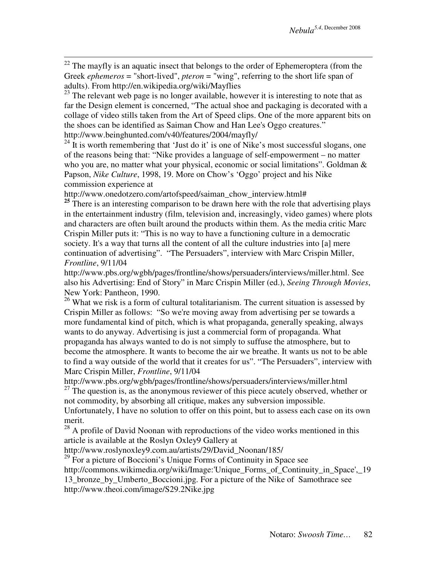$22$  The mayfly is an aquatic insect that belongs to the order of Ephemeroptera (from the Greek *ephemeros* = "short-lived", *pteron* = "wing", referring to the short life span of adults). From http://en.wikipedia.org/wiki/Mayflies

<sup>23</sup> The relevant web page is no longer available, however it is interesting to note that as far the Design element is concerned, "The actual shoe and packaging is decorated with a collage of video stills taken from the Art of Speed clips. One of the more apparent bits on the shoes can be identified as Saiman Chow and Han Lee's Oggo creatures." http://www.beinghunted.com/v40/features/2004/mayfly/

 $^{24}$  It is worth remembering that 'Just do it' is one of Nike's most successful slogans, one of the reasons being that: "Nike provides a language of self-empowerment – no matter who you are, no matter what your physical, economic or social limitations". Goldman & Papson, *Nike Culture*, 1998, 19. More on Chow's 'Oggo' project and his Nike commission experience at

http://www.onedotzero.com/artofspeed/saiman\_chow\_interview.html#

 $\overline{a}$ 

<sup>25</sup> There is an interesting comparison to be drawn here with the role that advertising plays in the entertainment industry (film, television and, increasingly, video games) where plots and characters are often built around the products within them. As the media critic Marc Crispin Miller puts it: "This is no way to have a functioning culture in a democratic society. It's a way that turns all the content of all the culture industries into [a] mere continuation of advertising". "The Persuaders", interview with Marc Crispin Miller, *Frontline*, 9/11/04

http://www.pbs.org/wgbh/pages/frontline/shows/persuaders/interviews/miller.html. See also his Advertising: End of Story" in Marc Crispin Miller (ed.), *Seeing Through Movies*, New York: Pantheon, 1990.

 $26$  What we risk is a form of cultural totalitarianism. The current situation is assessed by Crispin Miller as follows: "So we're moving away from advertising per se towards a more fundamental kind of pitch, which is what propaganda, generally speaking, always wants to do anyway. Advertising is just a commercial form of propaganda. What propaganda has always wanted to do is not simply to suffuse the atmosphere, but to become the atmosphere. It wants to become the air we breathe. It wants us not to be able to find a way outside of the world that it creates for us". "The Persuaders", interview with Marc Crispin Miller, *Frontline*, 9/11/04

http://www.pbs.org/wgbh/pages/frontline/shows/persuaders/interviews/miller.html  $27$  The question is, as the anonymous reviewer of this piece acutely observed, whether or not commodity, by absorbing all critique, makes any subversion impossible.

Unfortunately, I have no solution to offer on this point, but to assess each case on its own merit.

 $28$  A profile of David Noonan with reproductions of the video works mentioned in this article is available at the Roslyn Oxley9 Gallery at

http://www.roslynoxley9.com.au/artists/29/David\_Noonan/185/

 $^{29}$  For a picture of Boccioni's Unique Forms of Continuity in Space see http://commons.wikimedia.org/wiki/Image:'Unique\_Forms\_of\_Continuity\_in\_Space',\_19 13\_bronze\_by\_Umberto\_Boccioni.jpg. For a picture of the Nike of Samothrace see http://www.theoi.com/image/S29.2Nike.jpg